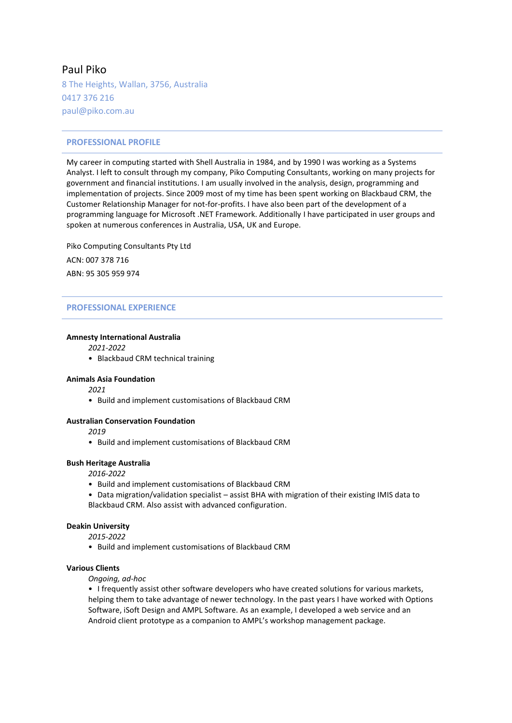# Paul Piko

8 The Heights, Wallan, 3756, Australia 0417 376 216 paul@piko.com.au

# **PROFESSIONAL PROFILE**

My career in computing started with Shell Australia in 1984, and by 1990 I was working as a Systems Analyst. I left to consult through my company, Piko Computing Consultants, working on many projects for government and financial institutions. I am usually involved in the analysis, design, programming and implementation of projects. Since 2009 most of my time has been spent working on Blackbaud CRM, the Customer Relationship Manager for not-for-profits. I have also been part of the development of a programming language for Microsoft .NET Framework. Additionally I have participated in user groups and spoken at numerous conferences in Australia, USA, UK and Europe.

Piko Computing Consultants Pty Ltd ACN: 007 378 716 ABN: 95 305 959 974

# **PROFESSIONAL EXPERIENCE**

### **Amnesty International Australia**

*2021-2022*

• Blackbaud CRM technical training

### **Animals Asia Foundation**

*2021*

• Build and implement customisations of Blackbaud CRM

# **Australian Conservation Foundation**

*2019*

• Build and implement customisations of Blackbaud CRM

### **Bush Heritage Australia**

*2016-2022*

- Build and implement customisations of Blackbaud CRM
- Data migration/validation specialist assist BHA with migration of their existing IMIS data to Blackbaud CRM. Also assist with advanced configuration.

### **Deakin University**

*2015-2022*

• Build and implement customisations of Blackbaud CRM

### **Various Clients**

*Ongoing, ad-hoc*

• I frequently assist other software developers who have created solutions for various markets, helping them to take advantage of newer technology. In the past years I have worked with Options Software, iSoft Design and AMPL Software. As an example, I developed a web service and an Android client prototype as a companion to AMPL's workshop management package.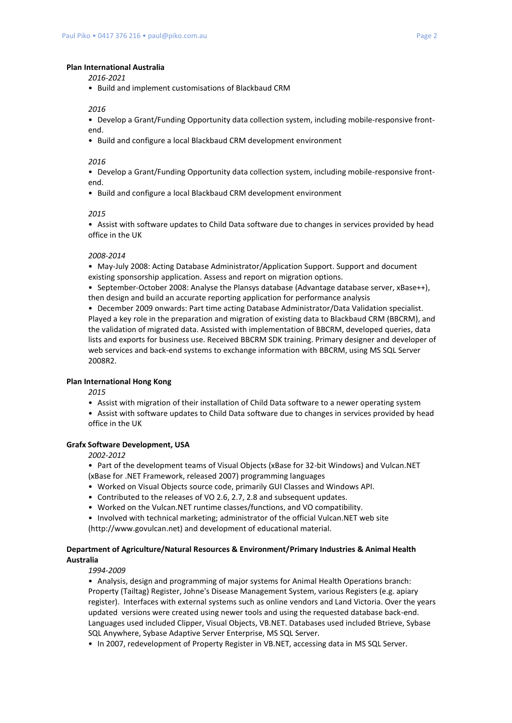#### **Plan International Australia**

*2016-2021*

• Build and implement customisations of Blackbaud CRM

#### *2016*

• Develop a Grant/Funding Opportunity data collection system, including mobile-responsive frontend.

• Build and configure a local Blackbaud CRM development environment

### *2016*

• Develop a Grant/Funding Opportunity data collection system, including mobile-responsive frontend.

• Build and configure a local Blackbaud CRM development environment

### *2015*

• Assist with software updates to Child Data software due to changes in services provided by head office in the UK

#### *2008-2014*

• May-July 2008: Acting Database Administrator/Application Support. Support and document existing sponsorship application. Assess and report on migration options.

• September-October 2008: Analyse the Plansys database (Advantage database server, xBase++), then design and build an accurate reporting application for performance analysis

• December 2009 onwards: Part time acting Database Administrator/Data Validation specialist. Played a key role in the preparation and migration of existing data to Blackbaud CRM (BBCRM), and the validation of migrated data. Assisted with implementation of BBCRM, developed queries, data lists and exports for business use. Received BBCRM SDK training. Primary designer and developer of web services and back-end systems to exchange information with BBCRM, using MS SQL Server 2008R2.

# **Plan International Hong Kong**

*2015*

- Assist with migration of their installation of Child Data software to a newer operating system
- Assist with software updates to Child Data software due to changes in services provided by head office in the UK

#### **Grafx Software Development, USA**

*2002-2012*

- Part of the development teams of Visual Objects (xBase for 32-bit Windows) and Vulcan.NET (xBase for .NET Framework, released 2007) programming languages
- Worked on Visual Objects source code, primarily GUI Classes and Windows API.
- Contributed to the releases of VO 2.6, 2.7, 2.8 and subsequent updates.
- Worked on the Vulcan.NET runtime classes/functions, and VO compatibility.
- Involved with technical marketing; administrator of the official Vulcan.NET web site

(http://www.govulcan.net) and development of educational material.

# **Department of Agriculture/Natural Resources & Environment/Primary Industries & Animal Health Australia**

*1994-2009*

• Analysis, design and programming of major systems for Animal Health Operations branch: Property (Tailtag) Register, Johne's Disease Management System, various Registers (e.g. apiary register). Interfaces with external systems such as online vendors and Land Victoria. Over the years updated versions were created using newer tools and using the requested database back-end. Languages used included Clipper, Visual Objects, VB.NET. Databases used included Btrieve, Sybase SQL Anywhere, Sybase Adaptive Server Enterprise, MS SQL Server.

• In 2007, redevelopment of Property Register in VB.NET, accessing data in MS SQL Server.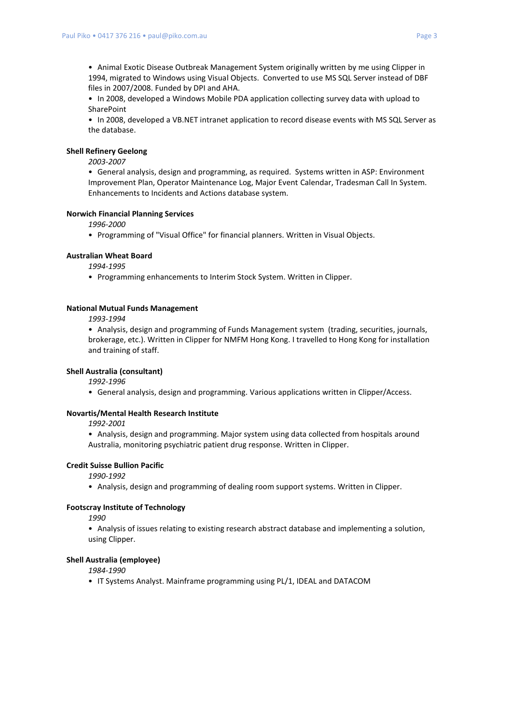• Animal Exotic Disease Outbreak Management System originally written by me using Clipper in 1994, migrated to Windows using Visual Objects. Converted to use MS SQL Server instead of DBF files in 2007/2008. Funded by DPI and AHA.

• In 2008, developed a Windows Mobile PDA application collecting survey data with upload to SharePoint

• In 2008, developed a VB.NET intranet application to record disease events with MS SQL Server as the database.

### **Shell Refinery Geelong**

*2003-2007*

• General analysis, design and programming, as required. Systems written in ASP: Environment Improvement Plan, Operator Maintenance Log, Major Event Calendar, Tradesman Call In System. Enhancements to Incidents and Actions database system.

### **Norwich Financial Planning Services**

*1996-2000*

• Programming of "Visual Office" for financial planners. Written in Visual Objects.

### **Australian Wheat Board**

*1994-1995*

• Programming enhancements to Interim Stock System. Written in Clipper.

#### **National Mutual Funds Management**

*1993-1994*

• Analysis, design and programming of Funds Management system (trading, securities, journals, brokerage, etc.). Written in Clipper for NMFM Hong Kong. I travelled to Hong Kong for installation and training of staff.

# **Shell Australia (consultant)**

*1992-1996* 

• General analysis, design and programming. Various applications written in Clipper/Access.

## **Novartis/Mental Health Research Institute**

*1992-2001*

• Analysis, design and programming. Major system using data collected from hospitals around Australia, monitoring psychiatric patient drug response. Written in Clipper.

### **Credit Suisse Bullion Pacific**

*1990-1992*

• Analysis, design and programming of dealing room support systems. Written in Clipper.

### **Footscray Institute of Technology**

*1990*

• Analysis of issues relating to existing research abstract database and implementing a solution, using Clipper.

#### **Shell Australia (employee)**

*1984-1990*

• IT Systems Analyst. Mainframe programming using PL/1, IDEAL and DATACOM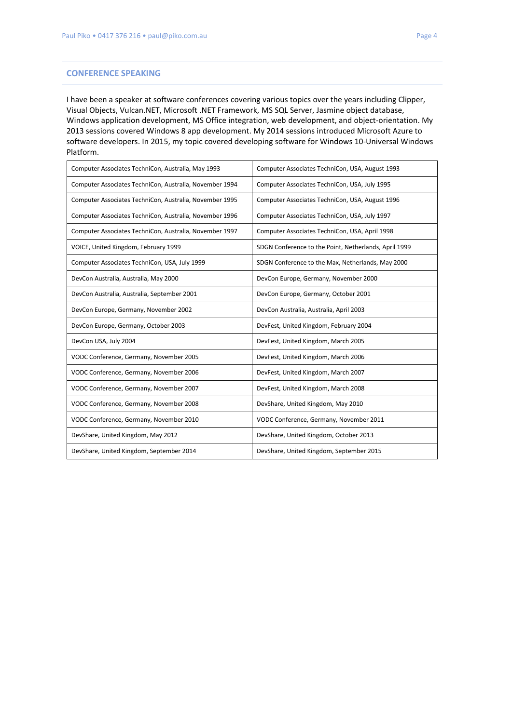# **CONFERENCE SPEAKING**

I have been a speaker at software conferences covering various topics over the years including Clipper, Visual Objects, Vulcan.NET, Microsoft .NET Framework, MS SQL Server, Jasmine object database, Windows application development, MS Office integration, web development, and object-orientation. My 2013 sessions covered Windows 8 app development. My 2014 sessions introduced Microsoft Azure to software developers. In 2015, my topic covered developing software for Windows 10-Universal Windows Platform.

| Computer Associates TechniCon, Australia, May 1993      | Computer Associates TechniCon, USA, August 1993       |
|---------------------------------------------------------|-------------------------------------------------------|
| Computer Associates TechniCon, Australia, November 1994 | Computer Associates TechniCon, USA, July 1995         |
| Computer Associates TechniCon, Australia, November 1995 | Computer Associates TechniCon, USA, August 1996       |
| Computer Associates TechniCon, Australia, November 1996 | Computer Associates TechniCon, USA, July 1997         |
| Computer Associates TechniCon, Australia, November 1997 | Computer Associates TechniCon, USA, April 1998        |
| VOICE, United Kingdom, February 1999                    | SDGN Conference to the Point, Netherlands, April 1999 |
| Computer Associates TechniCon, USA, July 1999           | SDGN Conference to the Max, Netherlands, May 2000     |
| DevCon Australia, Australia, May 2000                   | DevCon Europe, Germany, November 2000                 |
| DevCon Australia, Australia, September 2001             | DevCon Europe, Germany, October 2001                  |
| DevCon Europe, Germany, November 2002                   | DevCon Australia, Australia, April 2003               |
| DevCon Europe, Germany, October 2003                    | DevFest, United Kingdom, February 2004                |
| DevCon USA, July 2004                                   | DevFest, United Kingdom, March 2005                   |
| VODC Conference, Germany, November 2005                 | DevFest, United Kingdom, March 2006                   |
| VODC Conference, Germany, November 2006                 | DevFest, United Kingdom, March 2007                   |
| VODC Conference, Germany, November 2007                 | DevFest, United Kingdom, March 2008                   |
| VODC Conference, Germany, November 2008                 | DevShare, United Kingdom, May 2010                    |
| VODC Conference, Germany, November 2010                 | VODC Conference, Germany, November 2011               |
| DevShare, United Kingdom, May 2012                      | DevShare, United Kingdom, October 2013                |
| DevShare, United Kingdom, September 2014                | DevShare, United Kingdom, September 2015              |